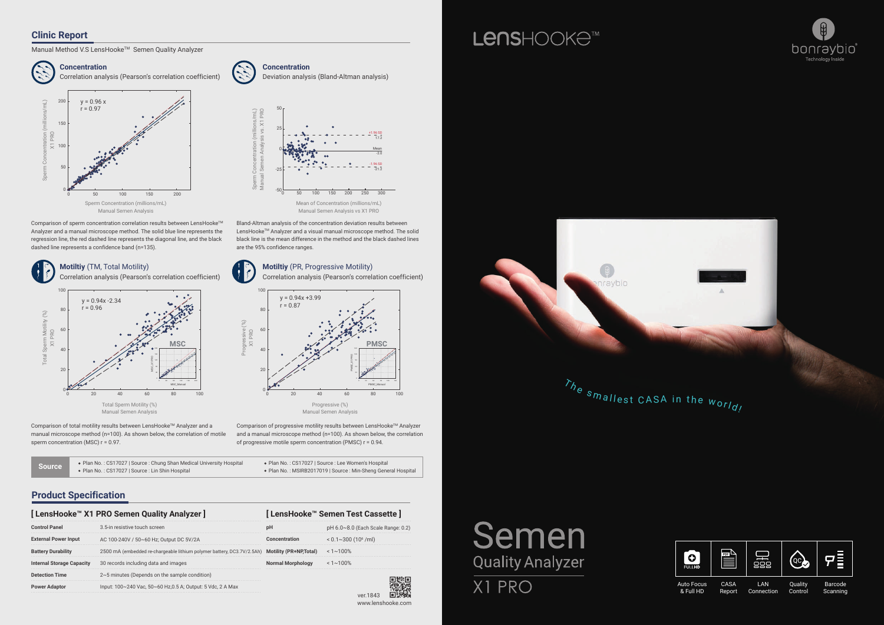

Auto Focus & Full HD

LAN Connection

Barcode Scanning

Quality Control

Comparison of progressive motility results between LensHooke™ Analyzer and a manual microscope method (n=100). As shown below, the correlation of progressive motile sperm concentration (PMSC) r = 0.94.

Comparison of sperm concentration correlation results between LensHooke™ Analyzer and a manual microscope method. The solid blue line represents the regression line, the red dashed line represents the diagonal line, and the black dashed line represents a confidence band (n=135).

Bland-Altman analysis of the concentration deviation results between LensHooke<sup>™</sup> Analyzer and a visual manual microscope method. The solid black line is the mean difference in the method and the black dashed lines are the 95% confidence ranges.



### **Product Specification**

#### **Clinic Report**

Manual Method V.S LensHooke™ Semen Quality Analyzer

 $\frac{150}{200}$   $\frac{200}{250}$   $\frac{300}{250}$ Mean +1.96 SD 17.2 -1.96 SD  $\frac{1}{20}$ -21.2 Mean of Concentration (millions/mL) Manual Semen Analysis vs X1 PRO



|                             | [ LensHooke™ X1 PRO Semen Quality Analyzer ]                                                   | [LensHooke™ Semen Test Cassette] |                                        |
|-----------------------------|------------------------------------------------------------------------------------------------|----------------------------------|----------------------------------------|
|                             | 3.5-in resistive touch screen                                                                  |                                  | $pH 6.0~8.0$ (Each Scale Range: 0.2)   |
| <b>External Power Input</b> | AC 100-240V / 50~60 Hz; Output DC 5V/2A                                                        |                                  | $< 0.1 \sim 300$ (10 <sup>6</sup> /ml) |
|                             | 2500 mA (embedded re-chargeable lithium polymer battery, DC3.7V/2.5Ah) Motility (PR+NP, Total) |                                  | $1 - 100\%$                            |
| Internal Storage Capacity   | 30 records including data and images                                                           | Normal Morphology                | $< 1 \sim 100\%$                       |
| Detection Time              | $2~5$ minutes (Depends on the sample condition)                                                |                                  |                                        |
|                             | lnput: 100~240 Vac, 50~60 Hz,0.5 A; Output: 5 Vdc, 2 A Max                                     |                                  |                                        |



Comparison of total motility results between LensHooke™ Analyzer and a manual microscope method (n=100). As shown below, the correlation of motile sperm concentration (MSC)  $r = 0.97$ .











# LensHOOKe<sup>M</sup>

Semen

**Quality Analyzer** 

X1 PRO

| Source | • Plan No.: CS17027   Source: Chung Shan Medical University Hospital | • Plan No.: CS17027   Source: Lee Women's Hospital            |
|--------|----------------------------------------------------------------------|---------------------------------------------------------------|
|        | • Plan No.: CS17027   Source: Lin Shin Hospital                      | • Plan No.: MSIRB2017019   Source: Min-Sheng General Hospital |